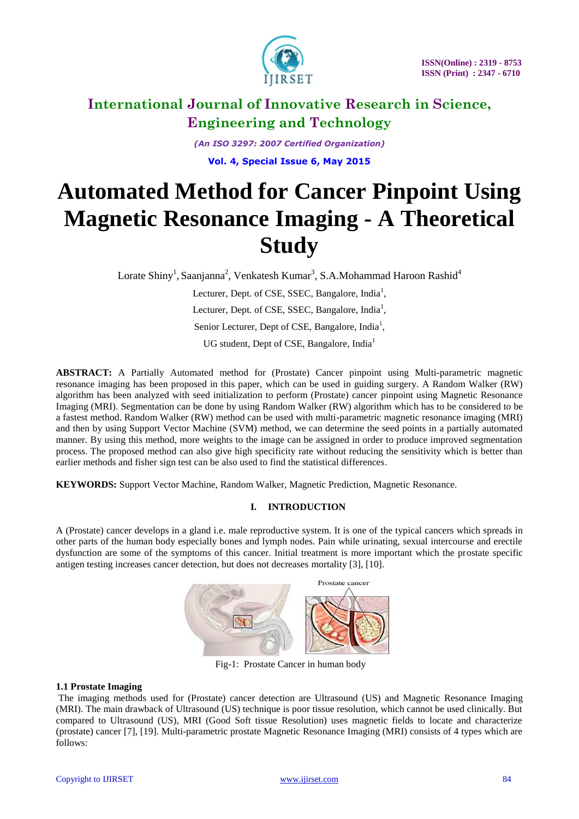

*(An ISO 3297: 2007 Certified Organization)*

**Vol. 4, Special Issue 6, May 2015**

# **Automated Method for Cancer Pinpoint Using Magnetic Resonance Imaging - A Theoretical Study**

Lorate Shiny<sup>1</sup>, Saanjanna<sup>2</sup>, Venkatesh Kumar<sup>3</sup>, S.A.Mohammad Haroon Rashid<sup>4</sup>

Lecturer, Dept. of CSE, SSEC, Bangalore, India<sup>1</sup>, Lecturer, Dept. of CSE, SSEC, Bangalore, India<sup>1</sup>, Senior Lecturer, Dept of CSE, Bangalore, India<sup>1</sup>, UG student, Dept of CSE, Bangalore, India<sup>1</sup>

**ABSTRACT:** A Partially Automated method for (Prostate) Cancer pinpoint using Multi-parametric magnetic resonance imaging has been proposed in this paper, which can be used in guiding surgery. A Random Walker (RW) algorithm has been analyzed with seed initialization to perform (Prostate) cancer pinpoint using Magnetic Resonance Imaging (MRI). Segmentation can be done by using Random Walker (RW) algorithm which has to be considered to be a fastest method. Random Walker (RW) method can be used with multi-parametric magnetic resonance imaging (MRI) and then by using Support Vector Machine (SVM) method, we can determine the seed points in a partially automated manner. By using this method, more weights to the image can be assigned in order to produce improved segmentation process. The proposed method can also give high specificity rate without reducing the sensitivity which is better than earlier methods and fisher sign test can be also used to find the statistical differences.

**KEYWORDS:** Support Vector Machine, Random Walker, Magnetic Prediction, Magnetic Resonance.

# **I. INTRODUCTION**

A (Prostate) cancer develops in a gland i.e. male reproductive system. It is one of the typical cancers which spreads in other parts of the human body especially bones and lymph nodes. Pain while urinating, sexual intercourse and erectile dysfunction are some of the symptoms of this cancer. Initial treatment is more important which the prostate specific antigen testing increases cancer detection, but does not decreases mortality [3], [10].



Fig-1: Prostate Cancer in human body

# **1.1 Prostate Imaging**

The imaging methods used for (Prostate) cancer detection are Ultrasound (US) and Magnetic Resonance Imaging (MRI). The main drawback of Ultrasound (US) technique is poor tissue resolution, which cannot be used clinically. But compared to Ultrasound (US), MRI (Good Soft tissue Resolution) uses magnetic fields to locate and characterize (prostate) cancer [7], [19]. Multi-parametric prostate Magnetic Resonance Imaging (MRI) consists of 4 types which are follows: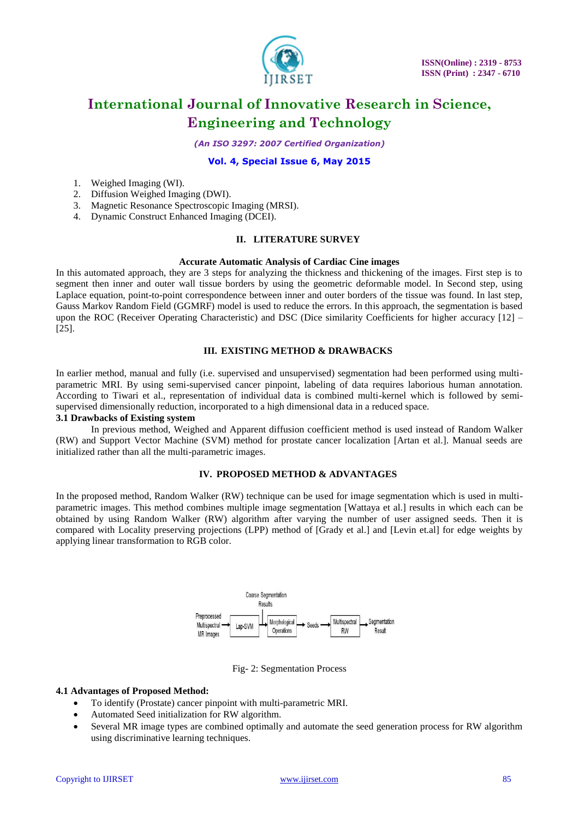

*(An ISO 3297: 2007 Certified Organization)*

# **Vol. 4, Special Issue 6, May 2015**

- 1. Weighed Imaging (WI).
- 2. Diffusion Weighed Imaging (DWI).
- 3. Magnetic Resonance Spectroscopic Imaging (MRSI).
- 4. Dynamic Construct Enhanced Imaging (DCEI).

# **II. LITERATURE SURVEY**

## **Accurate Automatic Analysis of Cardiac Cine images**

In this automated approach, they are 3 steps for analyzing the thickness and thickening of the images. First step is to segment then inner and outer wall tissue borders by using the geometric deformable model. In Second step, using Laplace equation, point-to-point correspondence between inner and outer borders of the tissue was found. In last step, Gauss Markov Random Field (GGMRF) model is used to reduce the errors. In this approach, the segmentation is based upon the ROC (Receiver Operating Characteristic) and DSC (Dice similarity Coefficients for higher accuracy [12] – [25].

# **III. EXISTING METHOD & DRAWBACKS**

In earlier method, manual and fully (i.e. supervised and unsupervised) segmentation had been performed using multiparametric MRI. By using semi-supervised cancer pinpoint, labeling of data requires laborious human annotation. According to Tiwari et al., representation of individual data is combined multi-kernel which is followed by semisupervised dimensionally reduction, incorporated to a high dimensional data in a reduced space.

# **3.1 Drawbacks of Existing system**

In previous method, Weighed and Apparent diffusion coefficient method is used instead of Random Walker (RW) and Support Vector Machine (SVM) method for prostate cancer localization [Artan et al.]. Manual seeds are initialized rather than all the multi-parametric images.

# **IV. PROPOSED METHOD & ADVANTAGES**

In the proposed method, Random Walker (RW) technique can be used for image segmentation which is used in multiparametric images. This method combines multiple image segmentation [Wattaya et al.] results in which each can be obtained by using Random Walker (RW) algorithm after varying the number of user assigned seeds. Then it is compared with Locality preserving projections (LPP) method of [Grady et al.] and [Levin et.al] for edge weights by applying linear transformation to RGB color.



# Fig- 2: Segmentation Process

## **4.1 Advantages of Proposed Method:**

- To identify (Prostate) cancer pinpoint with multi-parametric MRI.
- Automated Seed initialization for RW algorithm.
- Several MR image types are combined optimally and automate the seed generation process for RW algorithm using discriminative learning techniques.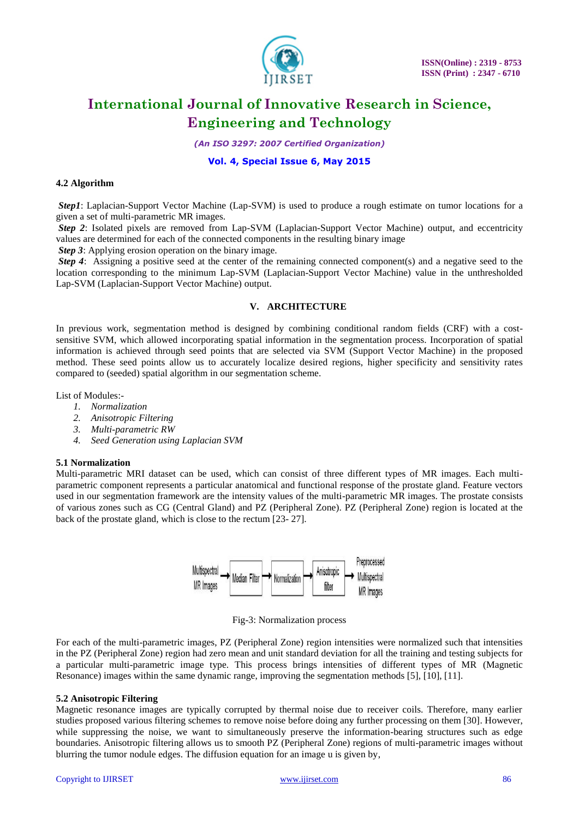

*(An ISO 3297: 2007 Certified Organization)*

# **Vol. 4, Special Issue 6, May 2015**

# **4.2 Algorithm**

*Step1*: Laplacian-Support Vector Machine (Lap-SVM) is used to produce a rough estimate on tumor locations for a given a set of multi-parametric MR images.

*Step 2*: Isolated pixels are removed from Lap-SVM (Laplacian-Support Vector Machine) output, and eccentricity values are determined for each of the connected components in the resulting binary image

*Step 3*: Applying erosion operation on the binary image.

*Step 4*: Assigning a positive seed at the center of the remaining connected component(s) and a negative seed to the location corresponding to the minimum Lap-SVM (Laplacian-Support Vector Machine) value in the unthresholded Lap-SVM (Laplacian-Support Vector Machine) output.

# **V. ARCHITECTURE**

In previous work, segmentation method is designed by combining conditional random fields (CRF) with a costsensitive SVM, which allowed incorporating spatial information in the segmentation process. Incorporation of spatial information is achieved through seed points that are selected via SVM (Support Vector Machine) in the proposed method. These seed points allow us to accurately localize desired regions, higher specificity and sensitivity rates compared to (seeded) spatial algorithm in our segmentation scheme.

List of Modules:-

- *1. Normalization*
- *2. Anisotropic Filtering*
- *3. Multi-parametric RW*
- *4. Seed Generation using Laplacian SVM*

# **5.1 Normalization**

Multi-parametric MRI dataset can be used, which can consist of three different types of MR images. Each multiparametric component represents a particular anatomical and functional response of the prostate gland. Feature vectors used in our segmentation framework are the intensity values of the multi-parametric MR images. The prostate consists of various zones such as CG (Central Gland) and PZ (Peripheral Zone). PZ (Peripheral Zone) region is located at the back of the prostate gland, which is close to the rectum [23- 27].



Fig-3: Normalization process

For each of the multi-parametric images, PZ (Peripheral Zone) region intensities were normalized such that intensities in the PZ (Peripheral Zone) region had zero mean and unit standard deviation for all the training and testing subjects for a particular multi-parametric image type. This process brings intensities of different types of MR (Magnetic Resonance) images within the same dynamic range, improving the segmentation methods [5], [10], [11].

## **5.2 Anisotropic Filtering**

Magnetic resonance images are typically corrupted by thermal noise due to receiver coils. Therefore, many earlier studies proposed various filtering schemes to remove noise before doing any further processing on them [30]. However, while suppressing the noise, we want to simultaneously preserve the information-bearing structures such as edge boundaries. Anisotropic filtering allows us to smooth PZ (Peripheral Zone) regions of multi-parametric images without blurring the tumor nodule edges. The diffusion equation for an image u is given by,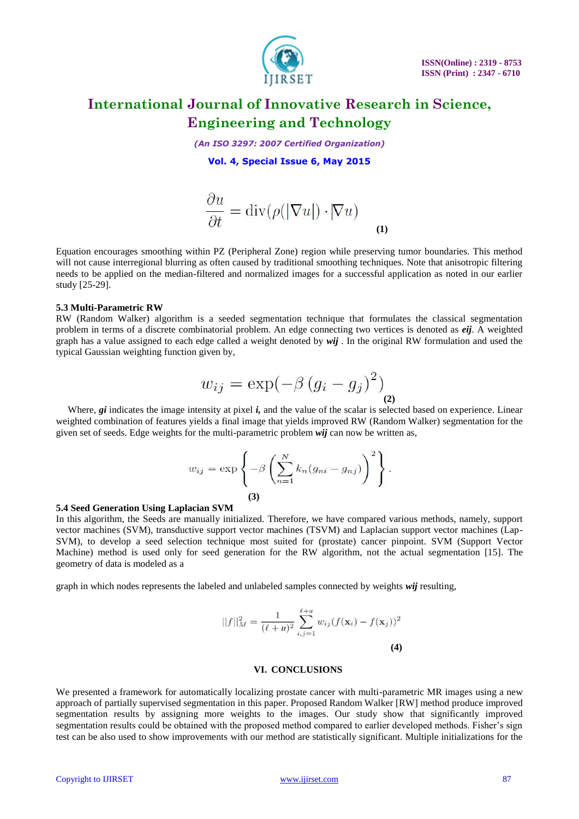

*(An ISO 3297: 2007 Certified Organization)*

**Vol. 4, Special Issue 6, May 2015**

$$
\frac{\partial u}{\partial t} = \text{div}(\rho(|\nabla u|) \cdot |\nabla u)
$$
 (1)

Equation encourages smoothing within PZ (Peripheral Zone) region while preserving tumor boundaries. This method will not cause interregional blurring as often caused by traditional smoothing techniques. Note that anisotropic filtering needs to be applied on the median-filtered and normalized images for a successful application as noted in our earlier study [25-29].

## **5.3 Multi-Parametric RW**

RW (Random Walker) algorithm is a seeded segmentation technique that formulates the classical segmentation problem in terms of a discrete combinatorial problem. An edge connecting two vertices is denoted as *eij*. A weighted graph has a value assigned to each edge called a weight denoted by *wij* . In the original RW formulation and used the typical Gaussian weighting function given by,

$$
w_{ij} = \exp(-\beta (g_i - g_j)^2) \Big|_{(2)}
$$

Where, *gi* indicates the image intensity at pixel *i*, and the value of the scalar is selected based on experience. Linear weighted combination of features yields a final image that yields improved RW (Random Walker) segmentation for the given set of seeds. Edge weights for the multi-parametric problem *wij* can now be written as,

$$
w_{ij} = \exp\left\{-\beta \left(\sum_{n=1}^N k_n (g_{ni} - g_{nj})\right)^2\right\}.
$$
  
(3)

#### **5.4 Seed Generation Using Laplacian SVM**

In this algorithm, the Seeds are manually initialized. Therefore, we have compared various methods, namely, support vector machines (SVM), transductive support vector machines (TSVM) and Laplacian support vector machines (Lap-SVM), to develop a seed selection technique most suited for (prostate) cancer pinpoint. SVM (Support Vector Machine) method is used only for seed generation for the RW algorithm, not the actual segmentation [15]. The geometry of data is modeled as a

graph in which nodes represents the labeled and unlabeled samples connected by weights *wij* resulting,

$$
||f||_M^2 = \frac{1}{(\ell+u)^2} \sum_{i,j=1}^{\ell+u} w_{ij} (f(\mathbf{x}_i) - f(\mathbf{x}_j))^2
$$
  
(4)

#### **VI. CONCLUSIONS**

We presented a framework for automatically localizing prostate cancer with multi-parametric MR images using a new approach of partially supervised segmentation in this paper. Proposed Random Walker [RW] method produce improved segmentation results by assigning more weights to the images. Our study show that significantly improved segmentation results could be obtained with the proposed method compared to earlier developed methods. Fisher's sign test can be also used to show improvements with our method are statistically significant. Multiple initializations for the